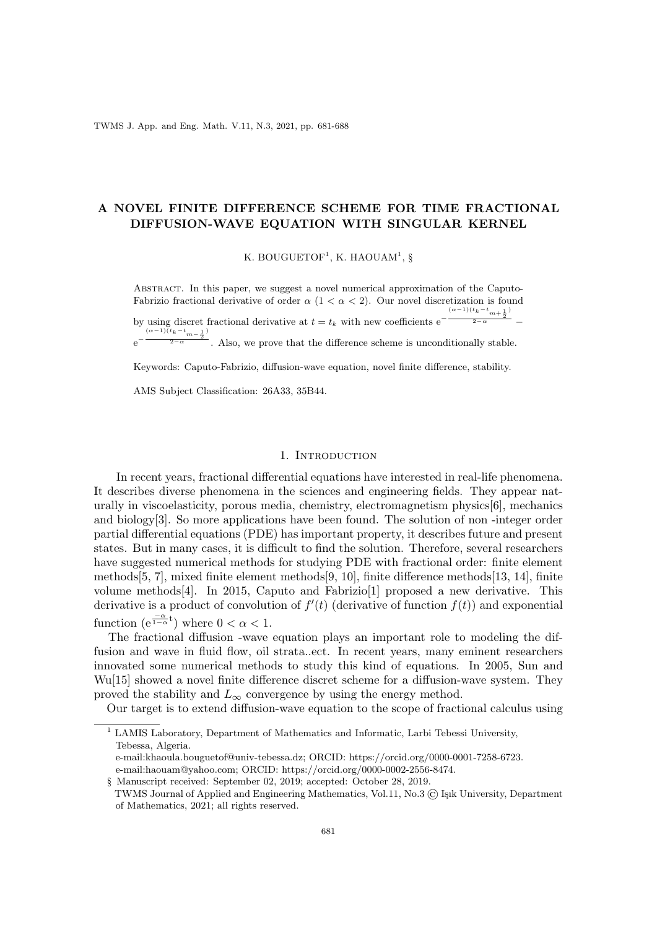TWMS J. App. and Eng. Math. V.11, N.3, 2021, pp. 681-688

# A NOVEL FINITE DIFFERENCE SCHEME FOR TIME FRACTIONAL DIFFUSION-WAVE EQUATION WITH SINGULAR KERNEL

K. BOUGUETOF<sup>1</sup>, K. HAOUAM<sup>1</sup>, §

Abstract. In this paper, we suggest a novel numerical approximation of the Caputo-Fabrizio fractional derivative of order  $\alpha$  (1 <  $\alpha$  < 2). Our novel discretization is found by using discret fractional derivative at  $t = t_k$  with new coefficients e<sup>†</sup>  $\frac{(\alpha-1)(t_k-t_{m+\frac{1}{2}})}{2}$  $\frac{2-\alpha}{2-\alpha}$  –

e −  $\frac{(\alpha-1)(t_k-t_{m-\frac{1}{2}})}{2}$ Also, we prove that the difference scheme is unconditionally stable.

Keywords: Caputo-Fabrizio, diffusion-wave equation, novel finite difference, stability.

AMS Subject Classification: 26A33, 35B44.

### 1. Introduction

In recent years, fractional differential equations have interested in real-life phenomena. It describes diverse phenomena in the sciences and engineering fields. They appear naturally in viscoelasticity, porous media, chemistry, electromagnetism physics[6], mechanics and biology[3]. So more applications have been found. The solution of non -integer order partial differential equations (PDE) has important property, it describes future and present states. But in many cases, it is difficult to find the solution. Therefore, several researchers have suggested numerical methods for studying PDE with fractional order: finite element methods[5, 7], mixed finite element methods[9, 10], finite difference methods[13, 14], finite volume methods[4]. In 2015, Caputo and Fabrizio[1] proposed a new derivative. This derivative is a product of convolution of  $f'(t)$  (derivative of function  $f(t)$ ) and exponential function  $(e^{\frac{-\alpha}{1-\alpha}t})$  where  $0 < \alpha < 1$ .

The fractional diffusion -wave equation plays an important role to modeling the diffusion and wave in fluid flow, oil strata..ect. In recent years, many eminent researchers innovated some numerical methods to study this kind of equations. In 2005, Sun and Wu[15] showed a novel finite difference discret scheme for a diffusion-wave system. They proved the stability and  $L_{\infty}$  convergence by using the energy method.

Our target is to extend diffusion-wave equation to the scope of fractional calculus using

<sup>1</sup> LAMIS Laboratory, Department of Mathematics and Informatic, Larbi Tebessi University, Tebessa, Algeria.

e-mail:khaoula.bouguetof@univ-tebessa.dz; ORCID: https://orcid.org/0000-0001-7258-6723.

e-mail:haouam@yahoo.com; ORCID: https://orcid.org/0000-0002-2556-8474.

<sup>§</sup> Manuscript received: September 02, 2019; accepted: October 28, 2019. TWMS Journal of Applied and Engineering Mathematics, Vol.11, No.3 (C) Isik University, Department of Mathematics, 2021; all rights reserved.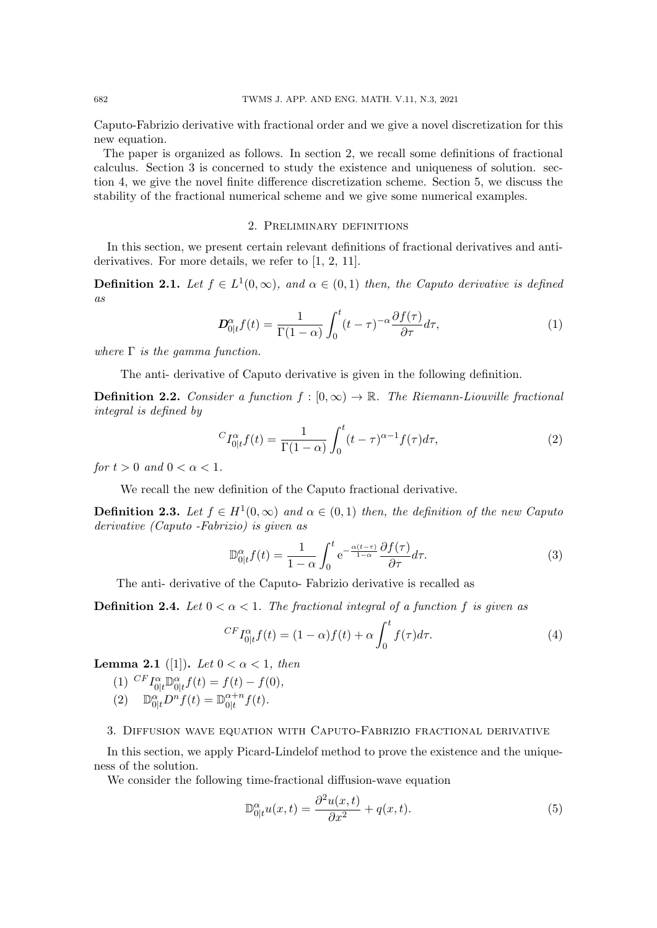Caputo-Fabrizio derivative with fractional order and we give a novel discretization for this new equation.

The paper is organized as follows. In section 2, we recall some definitions of fractional calculus. Section 3 is concerned to study the existence and uniqueness of solution. section 4, we give the novel finite difference discretization scheme. Section 5, we discuss the stability of the fractional numerical scheme and we give some numerical examples.

#### 2. Preliminary definitions

In this section, we present certain relevant definitions of fractional derivatives and antiderivatives. For more details, we refer to [1, 2, 11].

**Definition 2.1.** Let  $f \in L^1(0,\infty)$ , and  $\alpha \in (0,1)$  then, the Caputo derivative is defined as

$$
\mathbf{D}_{0|t}^{\alpha} f(t) = \frac{1}{\Gamma(1-\alpha)} \int_0^t (t-\tau)^{-\alpha} \frac{\partial f(\tau)}{\partial \tau} d\tau,\tag{1}
$$

where  $\Gamma$  is the gamma function.

The anti- derivative of Caputo derivative is given in the following definition.

**Definition 2.2.** Consider a function  $f : [0, \infty) \to \mathbb{R}$ . The Riemann-Liouville fractional integral is defined by

$$
{}^{C}I_{0|t}^{\alpha}f(t) = \frac{1}{\Gamma(1-\alpha)} \int_{0}^{t} (t-\tau)^{\alpha-1} f(\tau) d\tau,
$$
\n(2)

for  $t > 0$  and  $0 < \alpha < 1$ .

We recall the new definition of the Caputo fractional derivative.

**Definition 2.3.** Let  $f \in H^1(0,\infty)$  and  $\alpha \in (0,1)$  then, the definition of the new Caputo derivative (Caputo -Fabrizio) is given as

$$
\mathbb{D}_{0|t}^{\alpha} f(t) = \frac{1}{1-\alpha} \int_0^t e^{-\frac{\alpha(t-\tau)}{1-\alpha}} \frac{\partial f(\tau)}{\partial \tau} d\tau.
$$
 (3)

The anti- derivative of the Caputo- Fabrizio derivative is recalled as

**Definition 2.4.** Let  $0 < \alpha < 1$ . The fractional integral of a function f is given as

$$
^{CF}I_{0|t}^{\alpha}f(t) = (1 - \alpha)f(t) + \alpha \int_0^t f(\tau)d\tau.
$$
\n(4)

**Lemma 2.1** ([1]). Let  $0 < \alpha < 1$ , then

(1)  $^{CF}I_{0|t}^{\alpha} \mathbb{D}_{0|t}^{\alpha} f(t) = f(t) - f(0),$ (2)  $\mathbb{D}_{0|t}^{\alpha}D^{n}f(t) = \mathbb{D}_{0|t}^{\alpha+n}$  $\frac{\alpha+n}{0|t}f(t)$ .

#### 3. Diffusion wave equation with Caputo-Fabrizio fractional derivative

In this section, we apply Picard-Lindelof method to prove the existence and the uniqueness of the solution.

We consider the following time-fractional diffusion-wave equation

$$
\mathbb{D}_{0|t}^{\alpha}u(x,t) = \frac{\partial^2 u(x,t)}{\partial x^2} + q(x,t). \tag{5}
$$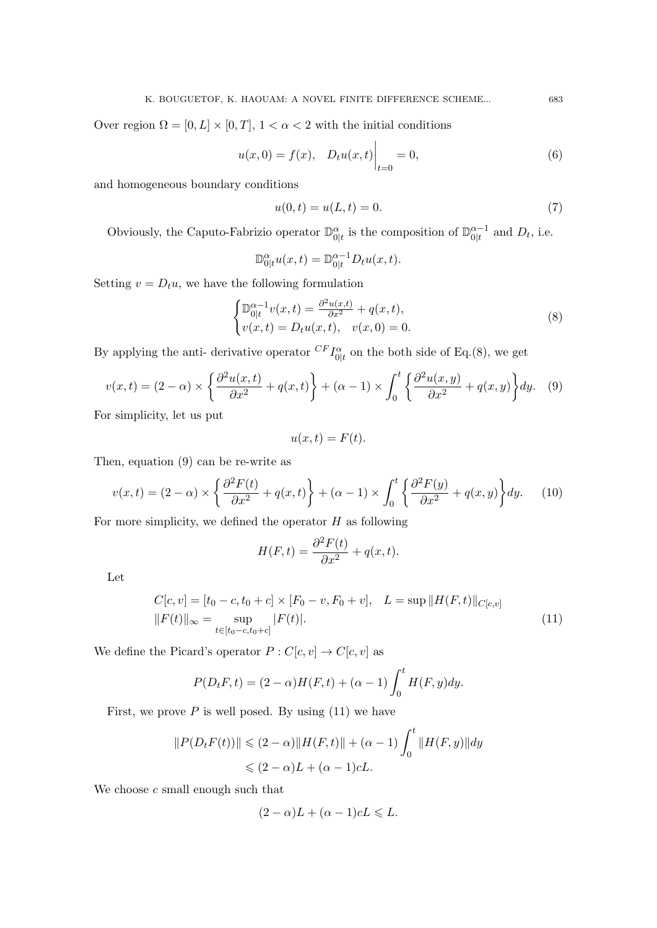Over region  $\Omega = [0, L] \times [0, T]$ ,  $1 < \alpha < 2$  with the initial conditions

$$
u(x,0) = f(x), \quad D_t u(x,t) \Big|_{t=0} = 0,
$$
\n(6)

and homogeneous boundary conditions

$$
u(0,t) = u(L,t) = 0.
$$
\n(7)

Obviously, the Caputo-Fabrizio operator  $\mathbb{D}_{0|t}^{\alpha}$  is the composition of  $\mathbb{D}_{0|t}^{\alpha-1}$  $\frac{\alpha-1}{0|t}$  and  $D_t$ , i.e.

$$
\mathbb{D}^{\alpha}_{0|t}u(x,t) = \mathbb{D}^{\alpha-1}_{0|t}D_tu(x,t).
$$

Setting  $v = D_t u$ , we have the following formulation

$$
\begin{cases} \mathbb{D}_{0|t}^{\alpha-1} v(x,t) = \frac{\partial^2 u(x,t)}{\partial x^2} + q(x,t), \\ v(x,t) = D_t u(x,t), \quad v(x,0) = 0. \end{cases}
$$
 (8)

By applying the anti- derivative operator  $^{CF}I^{\alpha}_{0|t}$  on the both side of Eq.(8), we get

$$
v(x,t) = (2-\alpha) \times \left\{ \frac{\partial^2 u(x,t)}{\partial x^2} + q(x,t) \right\} + (\alpha-1) \times \int_0^t \left\{ \frac{\partial^2 u(x,y)}{\partial x^2} + q(x,y) \right\} dy. \tag{9}
$$

For simplicity, let us put

$$
u(x,t) = F(t).
$$

Then, equation (9) can be re-write as

$$
v(x,t) = (2-\alpha) \times \left\{ \frac{\partial^2 F(t)}{\partial x^2} + q(x,t) \right\} + (\alpha-1) \times \int_0^t \left\{ \frac{\partial^2 F(y)}{\partial x^2} + q(x,y) \right\} dy. \tag{10}
$$

For more simplicity, we defined the operator  $H$  as following

$$
H(F,t) = \frac{\partial^2 F(t)}{\partial x^2} + q(x,t).
$$

Let

$$
C[c, v] = [t_0 - c, t_0 + c] \times [F_0 - v, F_0 + v], \quad L = \sup ||H(F, t)||_{C[c, v]}
$$
  

$$
||F(t)||_{\infty} = \sup_{t \in [t_0 - c, t_0 + c]} |F(t)|.
$$
 (11)

We define the Picard's operator  $P:C[c,v]\rightarrow C[c,v]$  as

$$
P(D_t F, t) = (2 - \alpha)H(F, t) + (\alpha - 1)\int_0^t H(F, y)dy.
$$

First, we prove  $P$  is well posed. By using  $(11)$  we have

$$
||P(D_t F(t))|| \le (2 - \alpha) ||H(F, t)|| + (\alpha - 1) \int_0^t ||H(F, y)|| dy
$$
  

$$
\le (2 - \alpha)L + (\alpha - 1)cL.
$$

We choose  $c$  small enough such that

$$
(2 - \alpha)L + (\alpha - 1)cL \leq L.
$$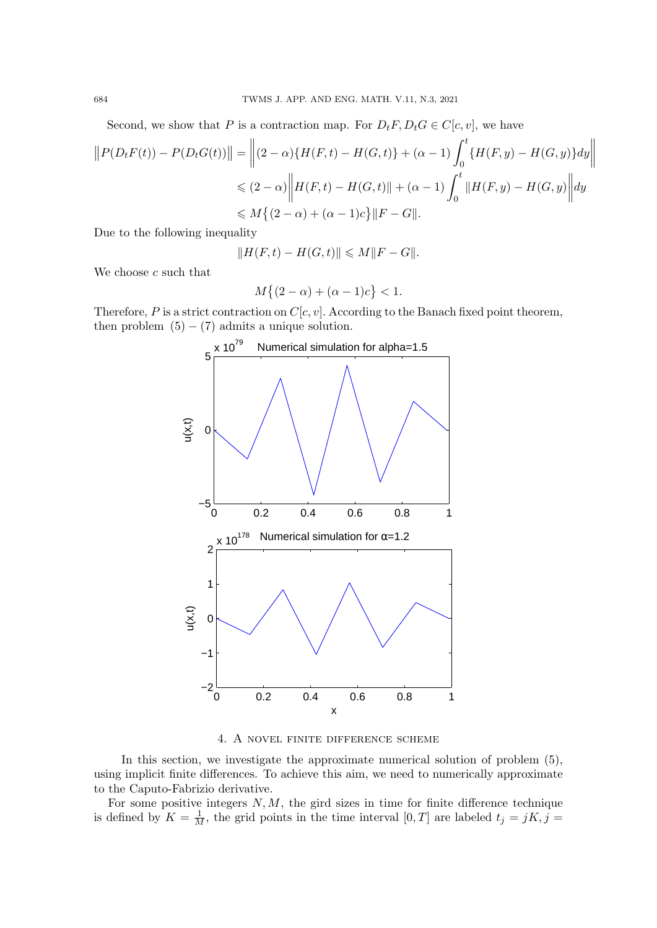Second, we show that P is a contraction map. For  $D_t F, D_t G \in C[c, v]$ , we have

$$
||P(D_t F(t)) - P(D_t G(t))|| = ||(2 - \alpha)\{H(F, t) - H(G, t)\} + (\alpha - 1) \int_0^t \{H(F, y) - H(G, y)\} dy||
$$
  
\$\leq (2 - \alpha) ||H(F, t) - H(G, t)|| + (\alpha - 1) \int\_0^t ||H(F, y) - H(G, y)|| dy\$  
\$\leq M \{(2 - \alpha) + (\alpha - 1)c\} ||F - G||\$.

Due to the following inequality

$$
||H(F,t) - H(G,t)|| \le M||F - G||.
$$

We choose  $c$  such that

$$
M\{(2-\alpha)+(\alpha-1)c\} < 1.
$$

Therefore, P is a strict contraction on  $C[c, v]$ . According to the Banach fixed point theorem, then problem  $(5) - (7)$  admits a unique solution.



4. A novel finite difference scheme

In this section, we investigate the approximate numerical solution of problem (5), using implicit finite differences. To achieve this aim, we need to numerically approximate to the Caputo-Fabrizio derivative.

For some positive integers  $N, M$ , the gird sizes in time for finite difference technique is defined by  $K = \frac{1}{M}$ , the grid points in the time interval  $[0, T]$  are labeled  $t_j = jK, j =$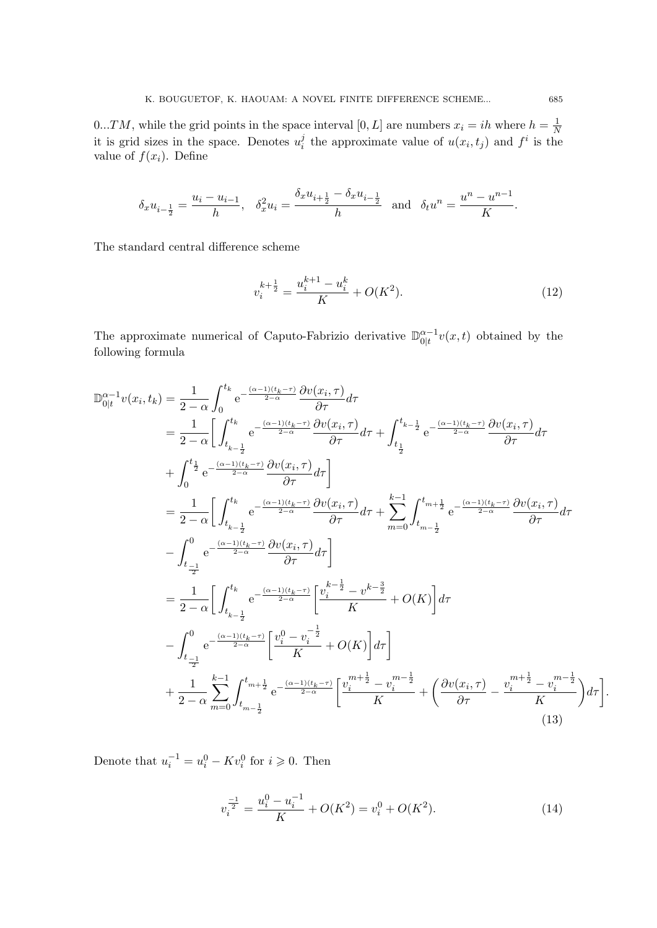0...TM, while the grid points in the space interval  $[0, L]$  are numbers  $x_i = ih$  where  $h = \frac{1}{N}$ N it is grid sizes in the space. Denotes  $u_i^j$  $i_i$  the approximate value of  $u(x_i, t_j)$  and  $f^i$  is the value of  $f(x_i)$ . Define

$$
\delta_x u_{i-\frac{1}{2}} = \frac{u_i - u_{i-1}}{h}, \quad \delta_x^2 u_i = \frac{\delta_x u_{i+\frac{1}{2}} - \delta_x u_{i-\frac{1}{2}}}{h} \quad \text{and} \quad \delta_t u^n = \frac{u^n - u^{n-1}}{K}.
$$

The standard central difference scheme

$$
v_i^{k + \frac{1}{2}} = \frac{u_i^{k+1} - u_i^k}{K} + O(K^2).
$$
\n(12)

The approximate numerical of Caputo-Fabrizio derivative  $\mathbb{D}_{0|t}^{\alpha-1}$  $\int_{0|t}^{\alpha-1} v(x, t)$  obtained by the following formula

$$
\begin{split}\n\mathbb{D}_{0|t}^{\alpha-1}v(x_i, t_k) &= \frac{1}{2-\alpha} \int_{0}^{t_k} e^{-\frac{(\alpha-1)(t_k-\tau)}{2-\alpha}} \frac{\partial v(x_i, \tau)}{\partial \tau} d\tau \\
&= \frac{1}{2-\alpha} \bigg[ \int_{t_{k-\frac{1}{2}}}^{t_k} e^{-\frac{(\alpha-1)(t_k-\tau)}{2-\alpha}} \frac{\partial v(x_i, \tau)}{\partial \tau} d\tau + \int_{t_{\frac{1}{2}}}^{t_{k-\frac{1}{2}}} e^{-\frac{(\alpha-1)(t_k-\tau)}{2-\alpha}} \frac{\partial v(x_i, \tau)}{\partial \tau} d\tau \\
&+ \int_{0}^{t_{\frac{1}{2}}} e^{-\frac{(\alpha-1)(t_k-\tau)}{2-\alpha}} \frac{\partial v(x_i, \tau)}{\partial \tau} d\tau \bigg] \\
&= \frac{1}{2-\alpha} \bigg[ \int_{t_{k-\frac{1}{2}}}^{t_k} e^{-\frac{(\alpha-1)(t_k-\tau)}{2-\alpha}} \frac{\partial v(x_i, \tau)}{\partial \tau} d\tau + \sum_{m=0}^{k-1} \int_{t_{m-\frac{1}{2}}}^{t_{m+\frac{1}{2}}} e^{-\frac{(\alpha-1)(t_k-\tau)}{2-\alpha}} \frac{\partial v(x_i, \tau)}{\partial \tau} d\tau \bigg] \\
&= \frac{1}{2-\alpha} \bigg[ \int_{t_{k-\frac{1}{2}}}^{t_k} e^{-\frac{(\alpha-1)(t_k-\tau)}{2-\alpha}} \frac{\partial v(x_i, \tau)}{\partial \tau} d\tau \bigg] \\
&= \frac{1}{2-\alpha} \bigg[ \int_{t_{k-\frac{1}{2}}}^{t_k} e^{-\frac{(\alpha-1)(t_k-\tau)}{2-\alpha}} \bigg[ \frac{v_i^{k-\frac{1}{2}} - v^{k-\frac{3}{2}}}{K} + O(K) \bigg] d\tau \bigg] \\
&+ \frac{1}{2-\alpha} \sum_{m=0}^{k-1} \int_{t_{m-\frac{1}{2}}}^{t_{m+\frac{1}{2}}} e^{-\frac{(\alpha-1)(t_k-\tau)}{2-\alpha}} \bigg[ \frac{v_i^{m+\frac{1}{2}} - v_i^{m-\frac{1}{2}}}{K} + \left( \frac{\partial v(x_i, \tau)}{\partial \tau} - \frac{v_i^{m+\frac{1}{2}} - v_i^{
$$

Denote that  $u_i^{-1} = u_i^0 - Kv_i^0$  for  $i \ge 0$ . Then

$$
v_i^{\frac{-1}{2}} = \frac{u_i^0 - u_i^{-1}}{K} + O(K^2) = v_i^0 + O(K^2). \tag{14}
$$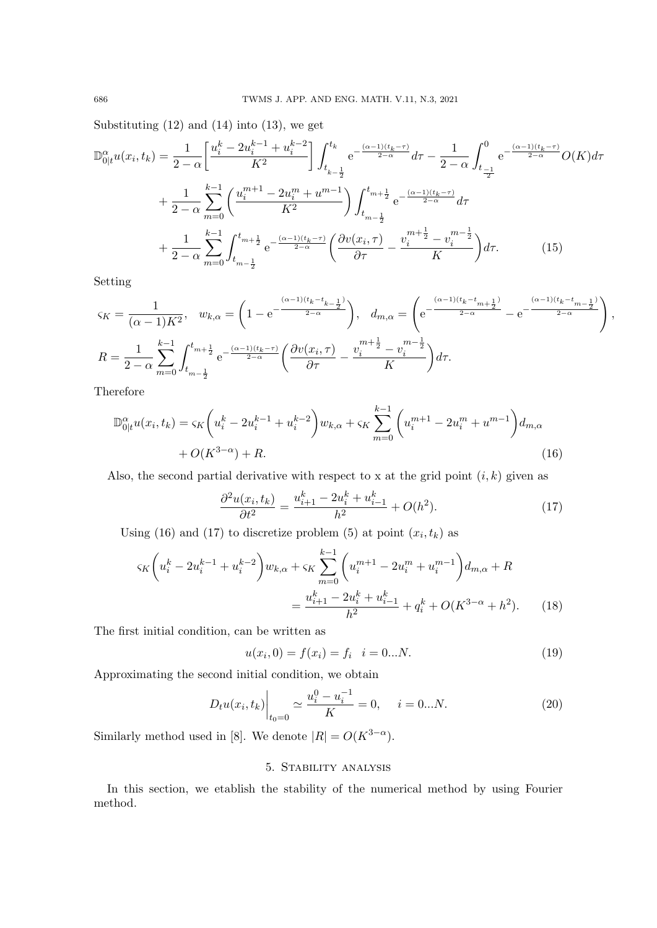Substituting  $(12)$  and  $(14)$  into  $(13)$ , we get

$$
\mathbb{D}_{0|t}^{\alpha}u(x_i, t_k) = \frac{1}{2-\alpha} \left[ \frac{u_i^k - 2u_i^{k-1} + u_i^{k-2}}{K^2} \right] \int_{t_{k-\frac{1}{2}}}^{t_k} e^{-\frac{(\alpha - 1)(t_k - \tau)}{2-\alpha}} d\tau - \frac{1}{2-\alpha} \int_{t_{\frac{-1}{2}}}^{0} e^{-\frac{(\alpha - 1)(t_k - \tau)}{2-\alpha}} O(K) d\tau
$$

$$
+ \frac{1}{2-\alpha} \sum_{m=0}^{k-1} \left( \frac{u_i^{m+1} - 2u_i^m + u^{m-1}}{K^2} \right) \int_{t_{m-\frac{1}{2}}}^{t_{m+\frac{1}{2}}} e^{-\frac{(\alpha - 1)(t_k - \tau)}{2-\alpha}} d\tau
$$

$$
+ \frac{1}{2-\alpha} \sum_{m=0}^{k-1} \int_{t_{m-\frac{1}{2}}}^{t_{m+\frac{1}{2}}} e^{-\frac{(\alpha - 1)(t_k - \tau)}{2-\alpha}} \left( \frac{\partial v(x_i, \tau)}{\partial \tau} - \frac{v_i^{m+\frac{1}{2}} - v_i^{m-\frac{1}{2}}}{K} \right) d\tau. \tag{15}
$$

Setting

$$
\zeta_K = \frac{1}{(\alpha - 1)K^2}, \quad w_{k,\alpha} = \left(1 - e^{-\frac{(\alpha - 1)(t_k - t_{k-\frac{1}{2}})}{2 - \alpha}}\right), \quad d_{m,\alpha} = \left(e^{-\frac{(\alpha - 1)(t_k - t_{m+\frac{1}{2}})}{2 - \alpha}} - e^{-\frac{(\alpha - 1)(t_k - t_{m-\frac{1}{2}})}{2 - \alpha}}\right),
$$

$$
R = \frac{1}{2 - \alpha} \sum_{m=0}^{k-1} \int_{t_{m-\frac{1}{2}}}^{t_{m+\frac{1}{2}}} e^{-\frac{(\alpha - 1)(t_k - \tau)}{2 - \alpha}} \left(\frac{\partial v(x_i, \tau)}{\partial \tau} - \frac{v_i^{m+\frac{1}{2}} - v_i^{m-\frac{1}{2}}}{K}\right) d\tau.
$$

Therefore

$$
\mathbb{D}_{0|t}^{\alpha}u(x_i, t_k) = \varsigma_K \left(u_i^k - 2u_i^{k-1} + u_i^{k-2}\right) w_{k,\alpha} + \varsigma_K \sum_{m=0}^{k-1} \left(u_i^{m+1} - 2u_i^m + u^{m-1}\right) d_{m,\alpha} + O(K^{3-\alpha}) + R. \tag{16}
$$

Also, the second partial derivative with respect to x at the grid point  $(i, k)$  given as

$$
\frac{\partial^2 u(x_i, t_k)}{\partial t^2} = \frac{u_{i+1}^k - 2u_i^k + u_{i-1}^k}{h^2} + O(h^2). \tag{17}
$$

Using (16) and (17) to discretize problem (5) at point  $(x_i, t_k)$  as

$$
\varsigma_K \left( u_i^k - 2u_i^{k-1} + u_i^{k-2} \right) w_{k,\alpha} + \varsigma_K \sum_{m=0}^{k-1} \left( u_i^{m+1} - 2u_i^m + u_i^{m-1} \right) d_{m,\alpha} + R
$$

$$
= \frac{u_{i+1}^k - 2u_i^k + u_{i-1}^k}{h^2} + q_i^k + O(K^{3-\alpha} + h^2). \tag{18}
$$

The first initial condition, can be written as

$$
u(x_i, 0) = f(x_i) = f_i \quad i = 0...N. \tag{19}
$$

Approximating the second initial condition, we obtain

$$
D_t u(x_i, t_k) \Big|_{t_0=0} \simeq \frac{u_i^0 - u_i^{-1}}{K} = 0, \quad i = 0...N. \tag{20}
$$

Similarly method used in [8]. We denote  $|R| = O(K^{3-\alpha}).$ 

## 5. Stability analysis

In this section, we etablish the stability of the numerical method by using Fourier method.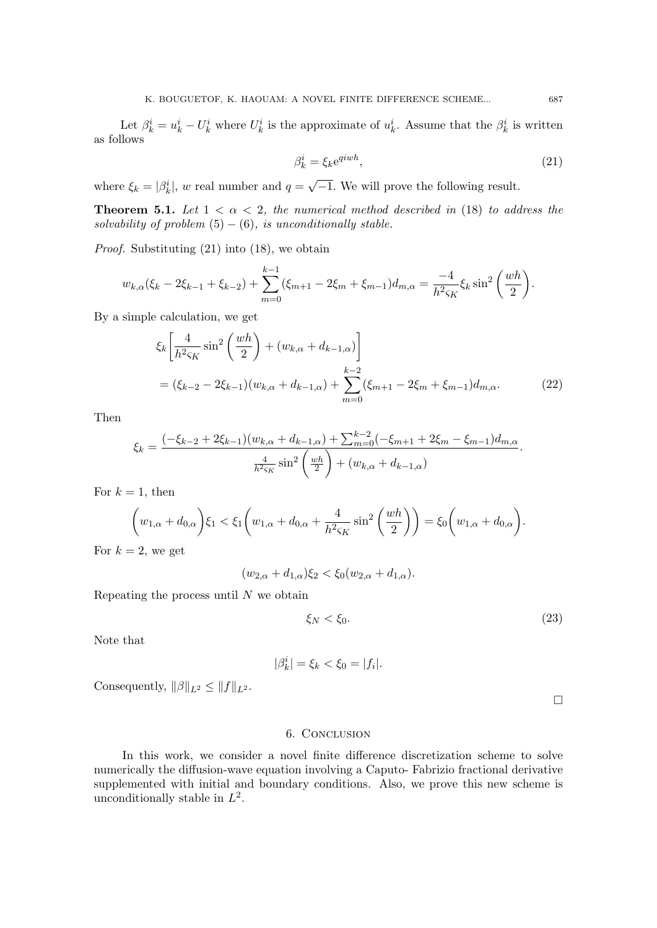Let  $\beta_k^i = u_k^i - U_k^i$  where  $U_k^i$  is the approximate of  $u_k^i$ . Assume that the  $\beta_k^i$  is written as follows

$$
\beta_k^i = \xi_k e^{q i w h},\tag{21}
$$

where  $\xi_k = |\beta_k^i|$ , w real number and  $q =$ √ −1. We will prove the following result.

**Theorem 5.1.** Let  $1 < \alpha < 2$ , the numerical method described in (18) to address the solvability of problem  $(5) - (6)$ , is unconditionally stable.

Proof. Substituting (21) into (18), we obtain

$$
w_{k,\alpha}(\xi_k - 2\xi_{k-1} + \xi_{k-2}) + \sum_{m=0}^{k-1} (\xi_{m+1} - 2\xi_m + \xi_{m-1}) d_{m,\alpha} = \frac{-4}{h^2 \varsigma_K} \xi_k \sin^2 \left(\frac{wh}{2}\right).
$$

By a simple calculation, we get

$$
\xi_k \left[ \frac{4}{h^2 \varsigma_K} \sin^2 \left( \frac{wh}{2} \right) + (w_{k,\alpha} + d_{k-1,\alpha}) \right]
$$
  
=  $(\xi_{k-2} - 2\xi_{k-1})(w_{k,\alpha} + d_{k-1,\alpha}) + \sum_{m=0}^{k-2} (\xi_{m+1} - 2\xi_m + \xi_{m-1}) d_{m,\alpha}.$  (22)

Then

$$
\xi_k = \frac{(-\xi_{k-2} + 2\xi_{k-1})(w_{k,\alpha} + d_{k-1,\alpha}) + \sum_{m=0}^{k-2} (-\xi_{m+1} + 2\xi_m - \xi_{m-1})d_{m,\alpha}}{\frac{4}{h^2 \varsigma_K} \sin^2 \left(\frac{wh}{2}\right) + (w_{k,\alpha} + d_{k-1,\alpha})}.
$$

For  $k = 1$ , then

$$
\left(w_{1,\alpha}+d_{0,\alpha}\right)\xi_1 < \xi_1\left(w_{1,\alpha}+d_{0,\alpha}+\frac{4}{h^2\varsigma_K}\sin^2\left(\frac{wh}{2}\right)\right) = \xi_0\left(w_{1,\alpha}+d_{0,\alpha}\right).
$$
\n
$$
= 2 \text{ we set}
$$

For  $k = 2$ , we get

 $(w_{2,\alpha} + d_{1,\alpha})\xi_2 < \xi_0(w_{2,\alpha} + d_{1,\alpha}).$ 

Repeating the process until  $N$  we obtain

$$
\xi_N < \xi_0. \tag{23}
$$

Note that

 $|\beta_k^i| = \xi_k < \xi_0 = |f_i|.$ 

Consequently,  $\|\beta\|_{L^2} \leq \|f\|_{L^2}$ .

 $\Box$ 

### 6. Conclusion

In this work, we consider a novel finite difference discretization scheme to solve numerically the diffusion-wave equation involving a Caputo- Fabrizio fractional derivative supplemented with initial and boundary conditions. Also, we prove this new scheme is unconditionally stable in  $L^2$ .